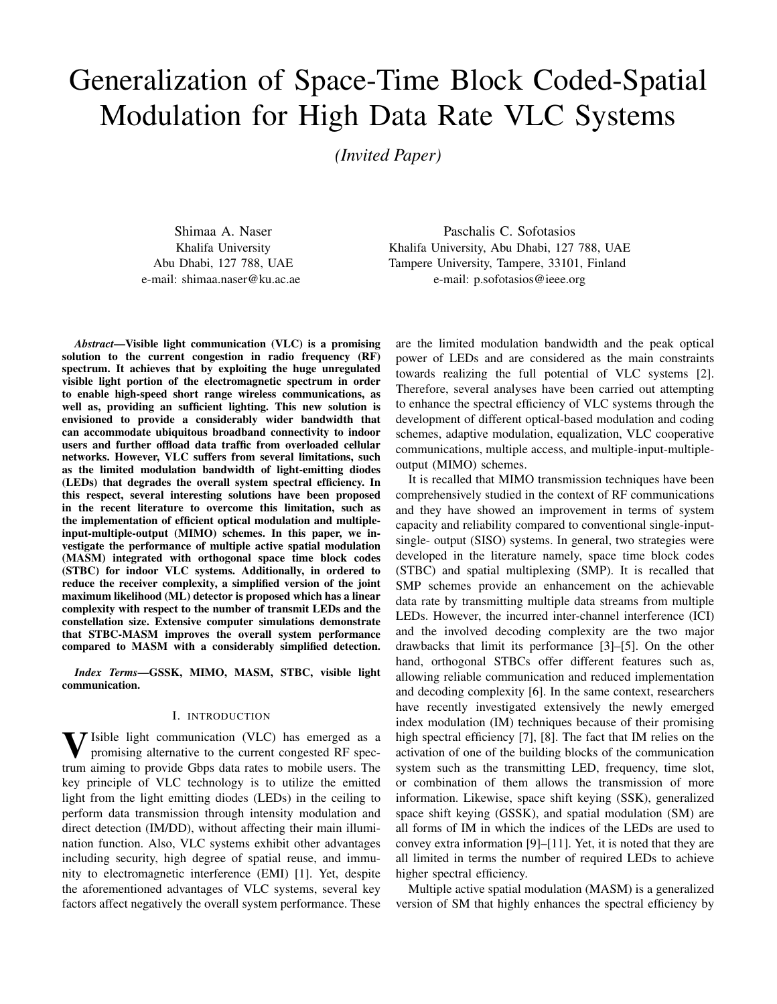# Generalization of Space-Time Block Coded-Spatial Modulation for High Data Rate VLC Systems

*(Invited Paper)*

Shimaa A. Naser Khalifa University Abu Dhabi, 127 788, UAE e-mail: shimaa.naser@ku.ac.ae

Paschalis C. Sofotasios Khalifa University, Abu Dhabi, 127 788, UAE Tampere University, Tampere, 33101, Finland e-mail: p.sofotasios@ieee.org

*Abstract*—Visible light communication (VLC) is a promising solution to the current congestion in radio frequency (RF) spectrum. It achieves that by exploiting the huge unregulated visible light portion of the electromagnetic spectrum in order to enable high-speed short range wireless communications, as well as, providing an sufficient lighting. This new solution is envisioned to provide a considerably wider bandwidth that can accommodate ubiquitous broadband connectivity to indoor users and further offload data traffic from overloaded cellular networks. However, VLC suffers from several limitations, such as the limited modulation bandwidth of light-emitting diodes (LEDs) that degrades the overall system spectral efficiency. In this respect, several interesting solutions have been proposed in the recent literature to overcome this limitation, such as the implementation of efficient optical modulation and multipleinput-multiple-output (MIMO) schemes. In this paper, we investigate the performance of multiple active spatial modulation (MASM) integrated with orthogonal space time block codes (STBC) for indoor VLC systems. Additionally, in ordered to reduce the receiver complexity, a simplified version of the joint maximum likelihood (ML) detector is proposed which has a linear complexity with respect to the number of transmit LEDs and the constellation size. Extensive computer simulations demonstrate that STBC-MASM improves the overall system performance compared to MASM with a considerably simplified detection.

*Index Terms*—GSSK, MIMO, MASM, STBC, visible light communication.

## I. INTRODUCTION

**V** Isible light communication (VLC) has emerged as a promising alternative to the current congested RF specpromising alternative to the current congested RF spectrum aiming to provide Gbps data rates to mobile users. The key principle of VLC technology is to utilize the emitted light from the light emitting diodes (LEDs) in the ceiling to perform data transmission through intensity modulation and direct detection (IM/DD), without affecting their main illumination function. Also, VLC systems exhibit other advantages including security, high degree of spatial reuse, and immunity to electromagnetic interference (EMI) [1]. Yet, despite the aforementioned advantages of VLC systems, several key factors affect negatively the overall system performance. These are the limited modulation bandwidth and the peak optical power of LEDs and are considered as the main constraints towards realizing the full potential of VLC systems [2]. Therefore, several analyses have been carried out attempting to enhance the spectral efficiency of VLC systems through the development of different optical-based modulation and coding schemes, adaptive modulation, equalization, VLC cooperative communications, multiple access, and multiple-input-multipleoutput (MIMO) schemes.

It is recalled that MIMO transmission techniques have been comprehensively studied in the context of RF communications and they have showed an improvement in terms of system capacity and reliability compared to conventional single-inputsingle- output (SISO) systems. In general, two strategies were developed in the literature namely, space time block codes (STBC) and spatial multiplexing (SMP). It is recalled that SMP schemes provide an enhancement on the achievable data rate by transmitting multiple data streams from multiple LEDs. However, the incurred inter-channel interference (ICI) and the involved decoding complexity are the two major drawbacks that limit its performance [3]–[5]. On the other hand, orthogonal STBCs offer different features such as, allowing reliable communication and reduced implementation and decoding complexity [6]. In the same context, researchers have recently investigated extensively the newly emerged index modulation (IM) techniques because of their promising high spectral efficiency [7], [8]. The fact that IM relies on the activation of one of the building blocks of the communication system such as the transmitting LED, frequency, time slot, or combination of them allows the transmission of more information. Likewise, space shift keying (SSK), generalized space shift keying (GSSK), and spatial modulation (SM) are all forms of IM in which the indices of the LEDs are used to convey extra information [9]–[11]. Yet, it is noted that they are all limited in terms the number of required LEDs to achieve higher spectral efficiency.

Multiple active spatial modulation (MASM) is a generalized version of SM that highly enhances the spectral efficiency by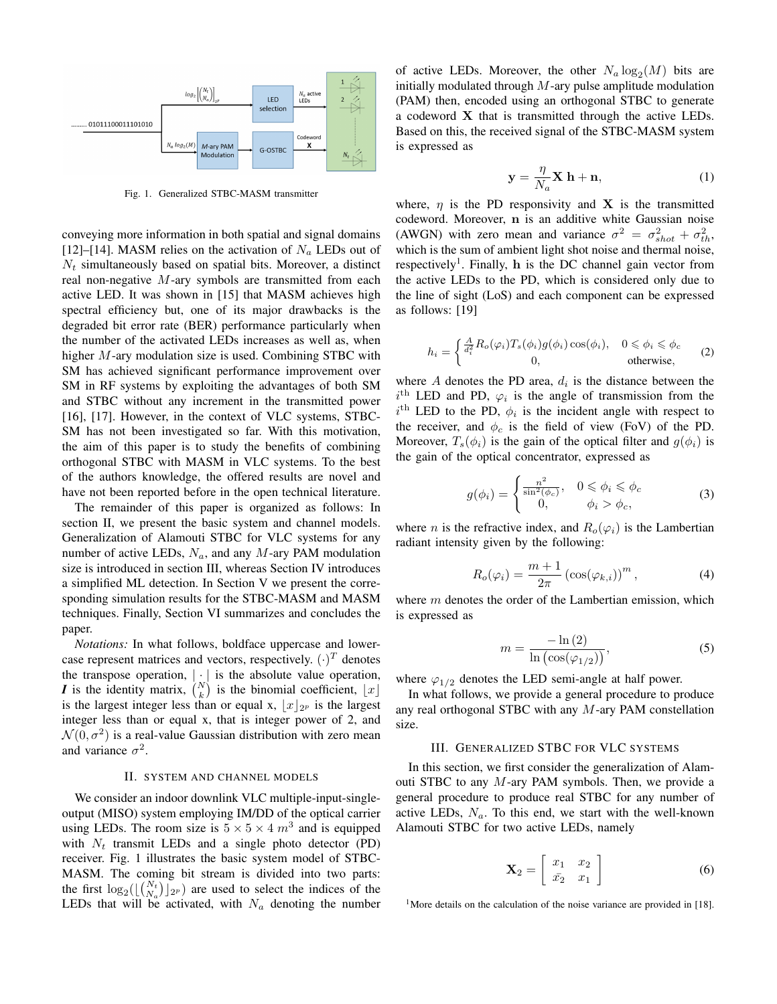

Fig. 1. Generalized STBC-MASM transmitter

conveying more information in both spatial and signal domains [12]–[14]. MASM relies on the activation of  $N_a$  LEDs out of  $N_t$  simultaneously based on spatial bits. Moreover, a distinct real non-negative M-ary symbols are transmitted from each active LED. It was shown in [15] that MASM achieves high spectral efficiency but, one of its major drawbacks is the degraded bit error rate (BER) performance particularly when the number of the activated LEDs increases as well as, when higher  $M$ -ary modulation size is used. Combining STBC with SM has achieved significant performance improvement over SM in RF systems by exploiting the advantages of both SM and STBC without any increment in the transmitted power [16], [17]. However, in the context of VLC systems, STBC-SM has not been investigated so far. With this motivation, the aim of this paper is to study the benefits of combining orthogonal STBC with MASM in VLC systems. To the best of the authors knowledge, the offered results are novel and have not been reported before in the open technical literature.

The remainder of this paper is organized as follows: In section II, we present the basic system and channel models. Generalization of Alamouti STBC for VLC systems for any number of active LEDs,  $N_a$ , and any M-ary PAM modulation size is introduced in section III, whereas Section IV introduces a simplified ML detection. In Section V we present the corresponding simulation results for the STBC-MASM and MASM techniques. Finally, Section VI summarizes and concludes the paper.

*Notations:* In what follows, boldface uppercase and lowercase represent matrices and vectors, respectively.  $(\cdot)^T$  denotes the transpose operation,  $|\cdot|$  is the absolute value operation, *I* is the identity matrix,  $\binom{N}{k}$  is the binomial coefficient,  $\lfloor x \rfloor$ is the largest integer less than or equal x,  $\lfloor x \rfloor_{2^p}$  is the largest integer less than or equal x, that is integer power of 2, and  $\mathcal{N}(0, \sigma^2)$  is a real-value Gaussian distribution with zero mean and variance  $\sigma^2$ .

#### II. SYSTEM AND CHANNEL MODELS

We consider an indoor downlink VLC multiple-input-singleoutput (MISO) system employing IM/DD of the optical carrier using LEDs. The room size is  $5 \times 5 \times 4$   $m<sup>3</sup>$  and is equipped with  $N_t$  transmit LEDs and a single photo detector (PD) receiver. Fig. 1 illustrates the basic system model of STBC-MASM. The coming bit stream is divided into two parts: the first  $\log_2(\lfloor \binom{N_t}{N_a} \rfloor_{2^p})$  are used to select the indices of the LEDs that will be activated, with  $N_a$  denoting the number

of active LEDs. Moreover, the other  $N_a \log_2(M)$  bits are initially modulated through  $M$ -ary pulse amplitude modulation (PAM) then, encoded using an orthogonal STBC to generate a codeword X that is transmitted through the active LEDs. Based on this, the received signal of the STBC-MASM system is expressed as

$$
\mathbf{y} = \frac{\eta}{N_a} \mathbf{X} \, \mathbf{h} + \mathbf{n},\tag{1}
$$

where,  $\eta$  is the PD responsivity and X is the transmitted codeword. Moreover, n is an additive white Gaussian noise (AWGN) with zero mean and variance  $\sigma^2 = \sigma_{shot}^2 + \sigma_{th}^2$ , which is the sum of ambient light shot noise and thermal noise, respectively<sup>1</sup>. Finally,  $h$  is the DC channel gain vector from the active LEDs to the PD, which is considered only due to the line of sight (LoS) and each component can be expressed as follows: [19]

$$
h_i = \begin{cases} \frac{A}{d_i^2} R_o(\varphi_i) T_s(\phi_i) g(\phi_i) \cos(\phi_i), & 0 \le \phi_i \le \phi_c \\ 0, & \text{otherwise,} \end{cases}
$$
 (2)

where  $A$  denotes the PD area,  $d_i$  is the distance between the  $i^{\text{th}}$  LED and PD,  $\varphi_i$  is the angle of transmission from the  $i^{\text{th}}$  LED to the PD,  $\phi_i$  is the incident angle with respect to the receiver, and  $\phi_c$  is the field of view (FoV) of the PD. Moreover,  $T_s(\phi_i)$  is the gain of the optical filter and  $g(\phi_i)$  is the gain of the optical concentrator, expressed as

$$
g(\phi_i) = \begin{cases} \frac{n^2}{\sin^2(\phi_c)}, & 0 \leq \phi_i \leq \phi_c \\ 0, & \phi_i > \phi_c, \end{cases}
$$
 (3)

where *n* is the refractive index, and  $R_o(\varphi_i)$  is the Lambertian radiant intensity given by the following:

$$
R_o(\varphi_i) = \frac{m+1}{2\pi} \left( \cos(\varphi_{k,i}) \right)^m, \tag{4}
$$

where  $m$  denotes the order of the Lambertian emission, which is expressed as

$$
m = \frac{-\ln(2)}{\ln\left(\cos(\varphi_{1/2})\right)},\tag{5}
$$

where  $\varphi_{1/2}$  denotes the LED semi-angle at half power.

In what follows, we provide a general procedure to produce any real orthogonal STBC with any M-ary PAM constellation size.

# III. GENERALIZED STBC FOR VLC SYSTEMS

In this section, we first consider the generalization of Alamouti STBC to any  $M$ -ary PAM symbols. Then, we provide a general procedure to produce real STBC for any number of active LEDs,  $N_a$ . To this end, we start with the well-known Alamouti STBC for two active LEDs, namely

$$
\mathbf{X}_2 = \left[ \begin{array}{cc} x_1 & x_2 \\ \bar{x_2} & x_1 \end{array} \right] \tag{6}
$$

<sup>1</sup>More details on the calculation of the noise variance are provided in [18].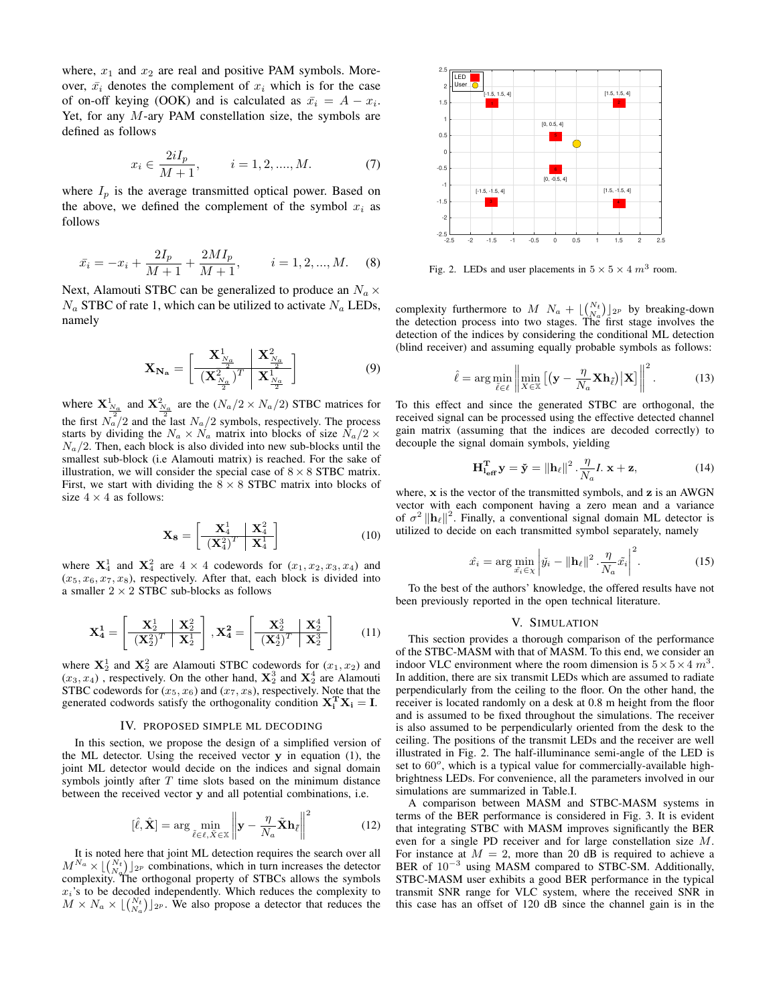where,  $x_1$  and  $x_2$  are real and positive PAM symbols. Moreover,  $\bar{x}_i$  denotes the complement of  $x_i$  which is for the case of on-off keying (OOK) and is calculated as  $\bar{x}_i = A - x_i$ . Yet, for any M-ary PAM constellation size, the symbols are defined as follows

$$
x_i \in \frac{2iI_p}{M+1}, \qquad i = 1, 2, \dots, M. \tag{7}
$$

where  $I_p$  is the average transmitted optical power. Based on the above, we defined the complement of the symbol  $x_i$  as follows

$$
\bar{x_i} = -x_i + \frac{2I_p}{M+1} + \frac{2MI_p}{M+1}, \qquad i = 1, 2, ..., M. \tag{8}
$$

Next, Alamouti STBC can be generalized to produce an  $N_a \times$  $N_a$  STBC of rate 1, which can be utilized to activate  $N_a$  LEDs, namely

$$
\mathbf{X_{N_a}} = \left[ \begin{array}{c|c} \mathbf{X}_{\frac{N_a}{2}}^1 & \mathbf{X}_{\frac{N_a}{2}}^2\\ \hline (\mathbf{X}_{\frac{N_a}{2}}^2)^T & \mathbf{X}_{\frac{N_a}{2}}^1 \end{array} \right] \tag{9}
$$

where  $X_{\frac{N_a}{2}}^1$  and  $X_{\frac{N_a}{2}}^2$  are the  $(N_a/2 \times N_a/2)$  STBC matrices for the first  $N_a/2$  and the last  $N_a/2$  symbols, respectively. The process starts by dividing the  $N_a \times N_a$  matrix into blocks of size  $N_a/2 \times$  $N_a/2$ . Then, each block is also divided into new sub-blocks until the smallest sub-block (i.e Alamouti matrix) is reached. For the sake of illustration, we will consider the special case of  $8 \times 8$  STBC matrix. First, we start with dividing the  $8 \times 8$  STBC matrix into blocks of size  $4 \times 4$  as follows:

$$
\mathbf{X}_8 = \begin{bmatrix} \mathbf{X}_4^1 & \mathbf{X}_4^2 \\ \hline (\mathbf{X}_4^2)^T & \mathbf{X}_4^1 \end{bmatrix} \tag{10}
$$

where  $X_4^1$  and  $X_4^2$  are  $4 \times 4$  codewords for  $(x_1, x_2, x_3, x_4)$  and  $(x_5, x_6, x_7, x_8)$ , respectively. After that, each block is divided into a smaller  $2 \times 2$  STBC sub-blocks as follows

$$
\mathbf{X}_4^1 = \left[ \begin{array}{c|c} \mathbf{X}_2^1 & \mathbf{X}_2^2 \\ \hline (\mathbf{X}_2^2)^T & \mathbf{X}_2^1 \end{array} \right], \mathbf{X}_4^2 = \left[ \begin{array}{c|c} \mathbf{X}_2^3 & \mathbf{X}_2^4 \\ \hline (\mathbf{X}_2^4)^T & \mathbf{X}_2^3 \end{array} \right] \tag{11}
$$

where  $X_2^1$  and  $X_2^2$  are Alamouti STBC codewords for  $(x_1, x_2)$  and  $(x_3, x_4)$ , respectively. On the other hand,  $\mathbf{X}_2^3$  and  $\mathbf{X}_2^4$  are Alamouti STBC codewords for  $(x_5, x_6)$  and  $(x_7, x_8)$ , respectively. Note that the generated codwords satisfy the orthogonality condition  $X_i^T X_i = I$ .

## IV. PROPOSED SIMPLE ML DECODING

In this section, we propose the design of a simplified version of the ML detector. Using the received vector y in equation (1), the joint ML detector would decide on the indices and signal domain symbols jointly after  $T$  time slots based on the minimum distance between the received vector y and all potential combinations, i.e.

$$
[\hat{\ell}, \hat{\mathbf{X}}] = \arg \min_{\tilde{\ell} \in \ell, \tilde{\mathbf{X}} \in \mathbb{X}} \left\| \mathbf{y} - \frac{\eta}{N_a} \tilde{\mathbf{X}} \mathbf{h}_{\tilde{\ell}} \right\|^2 \tag{12}
$$

It is noted here that joint ML detection requires the search over all  $M^{N_a} \times \lfloor {N_t \choose N_a} \rfloor_{2^p}$  combinations, which in turn increases the detector complexity. The orthogonal property of STBCs allows the symbols  $x_i$ 's to be decoded independently. Which reduces the complexity to  $M \times N_a \times \lfloor \binom{N_t}{N_a} \rfloor_{2^p}$ . We also propose a detector that reduces the



Fig. 2. LEDs and user placements in  $5 \times 5 \times 4$   $m<sup>3</sup>$  room.

complexity furthermore to  $M N_a + \lfloor {N_t \choose N_a} \rfloor_{2^p}$  by breaking-down the detection process into two stages. The first stage involves the detection of the indices by considering the conditional ML detection (blind receiver) and assuming equally probable symbols as follows:

$$
\hat{\ell} = \arg\min_{\tilde{\ell} \in \ell} \left\| \min_{X \in \mathbb{X}} \left[ \left( \mathbf{y} - \frac{\eta}{N_a} \mathbf{X} \mathbf{h}_{\tilde{\ell}} \right) \middle| \mathbf{X} \right] \right\|^2.
$$
 (13)

To this effect and since the generated STBC are orthogonal, the received signal can be processed using the effective detected channel gain matrix (assuming that the indices are decoded correctly) to decouple the signal domain symbols, yielding

$$
\mathbf{H}_{\mathbf{l}_{\mathbf{eff}}}^{\mathbf{T}} \mathbf{y} = \check{\mathbf{y}} = \|\mathbf{h}_{\ell}\|^2 \cdot \frac{\eta}{N_a} I. \ \mathbf{x} + \mathbf{z}, \tag{14}
$$

where,  $x$  is the vector of the transmitted symbols, and  $z$  is an AWGN vector with each component having a zero mean and a variance of  $\sigma^2 \|\mathbf{h}_\ell\|^2$ . Finally, a conventional signal domain ML detector is utilized to decide on each transmitted symbol separately, namely

$$
\hat{x_i} = \arg\min_{\tilde{x_i} \in \chi} \left| \tilde{y_i} - ||\mathbf{h}_{\ell}||^2 \cdot \frac{\eta}{N_a} \tilde{x_i} \right|^2.
$$
 (15)

To the best of the authors' knowledge, the offered results have not been previously reported in the open technical literature.

#### V. SIMULATION

This section provides a thorough comparison of the performance of the STBC-MASM with that of MASM. To this end, we consider an indoor VLC environment where the room dimension is  $5 \times 5 \times 4$   $m^3$ . In addition, there are six transmit LEDs which are assumed to radiate perpendicularly from the ceiling to the floor. On the other hand, the receiver is located randomly on a desk at 0.8 m height from the floor and is assumed to be fixed throughout the simulations. The receiver is also assumed to be perpendicularly oriented from the desk to the ceiling. The positions of the transmit LEDs and the receiver are well illustrated in Fig. 2. The half-illuminance semi-angle of the LED is set to  $60^{\circ}$ , which is a typical value for commercially-available highbrightness LEDs. For convenience, all the parameters involved in our simulations are summarized in Table.I.

A comparison between MASM and STBC-MASM systems in terms of the BER performance is considered in Fig. 3. It is evident that integrating STBC with MASM improves significantly the BER even for a single PD receiver and for large constellation size M. For instance at  $M = 2$ , more than 20 dB is required to achieve a BER of 10<sup>-3</sup> using MASM compared to STBC-SM. Additionally, STBC-MASM user exhibits a good BER performance in the typical transmit SNR range for VLC system, where the received SNR in this case has an offset of 120 dB since the channel gain is in the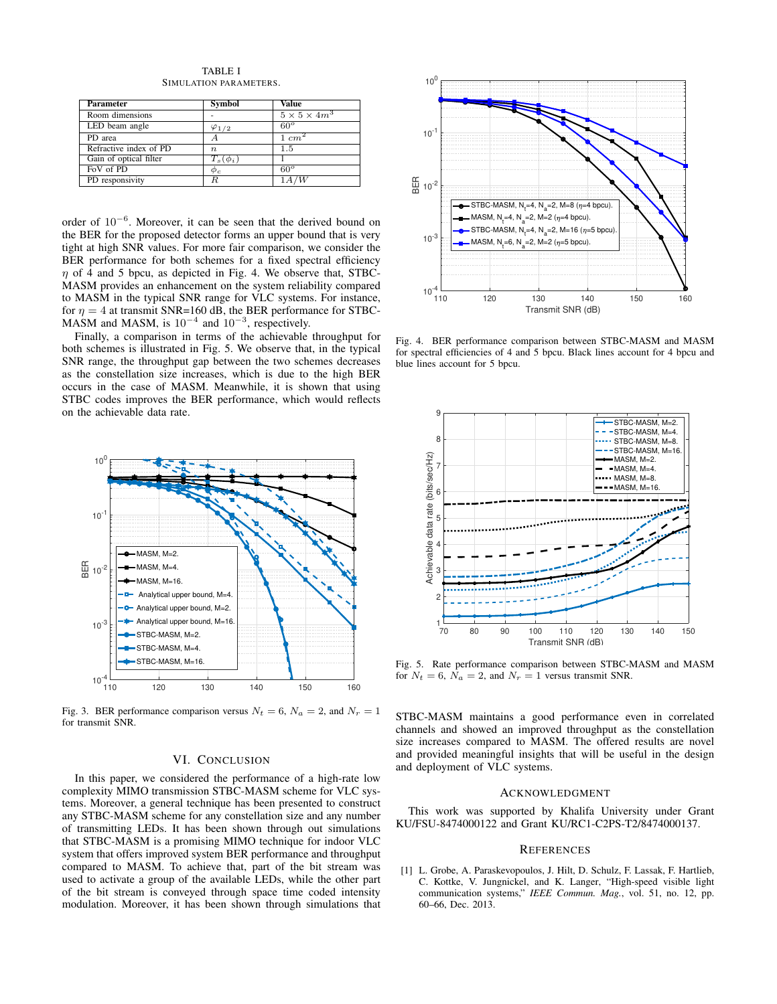TABLE I SIMULATION PARAMETERS.

| <b>Parameter</b>       | Symbol          | Value                    |
|------------------------|-----------------|--------------------------|
| Room dimensions        |                 | $5 \times 5 \times 4m^3$ |
| LED beam angle         | $\varphi_{1/2}$ | $60^\circ$               |
| PD area                |                 | $1 \, cm^2$              |
| Refractive index of PD | $\eta$          | 1.5                      |
| Gain of optical filter | $T_s(\phi_i)$   |                          |
| FoV of PD              | $\phi_c$        | $60^o$                   |
| PD responsivity        | R               |                          |

order of  $10^{-6}$ . Moreover, it can be seen that the derived bound on the BER for the proposed detector forms an upper bound that is very tight at high SNR values. For more fair comparison, we consider the BER performance for both schemes for a fixed spectral efficiency  $\eta$  of 4 and 5 bpcu, as depicted in Fig. 4. We observe that, STBC-MASM provides an enhancement on the system reliability compared to MASM in the typical SNR range for VLC systems. For instance, for  $\eta = 4$  at transmit SNR=160 dB, the BER performance for STBC-MASM and MASM, is  $10^{-4}$  and  $10^{-3}$ , respectively.

Finally, a comparison in terms of the achievable throughput for both schemes is illustrated in Fig. 5. We observe that, in the typical SNR range, the throughput gap between the two schemes decreases as the constellation size increases, which is due to the high BER occurs in the case of MASM. Meanwhile, it is shown that using STBC codes improves the BER performance, which would reflects on the achievable data rate.



Fig. 3. BER performance comparison versus  $N_t = 6$ ,  $N_a = 2$ , and  $N_r = 1$ for transmit SNR.

# VI. CONCLUSION

In this paper, we considered the performance of a high-rate low complexity MIMO transmission STBC-MASM scheme for VLC systems. Moreover, a general technique has been presented to construct any STBC-MASM scheme for any constellation size and any number of transmitting LEDs. It has been shown through out simulations that STBC-MASM is a promising MIMO technique for indoor VLC system that offers improved system BER performance and throughput compared to MASM. To achieve that, part of the bit stream was used to activate a group of the available LEDs, while the other part of the bit stream is conveyed through space time coded intensity modulation. Moreover, it has been shown through simulations that



Fig. 4. BER performance comparison between STBC-MASM and MASM for spectral efficiencies of 4 and 5 bpcu. Black lines account for 4 bpcu and blue lines account for 5 bpcu.



Fig. 5. Rate performance comparison between STBC-MASM and MASM for  $N_t = 6$ ,  $N_a = 2$ , and  $N_r = 1$  versus transmit SNR.

STBC-MASM maintains a good performance even in correlated channels and showed an improved throughput as the constellation size increases compared to MASM. The offered results are novel and provided meaningful insights that will be useful in the design and deployment of VLC systems.

# ACKNOWLEDGMENT

This work was supported by Khalifa University under Grant KU/FSU-8474000122 and Grant KU/RC1-C2PS-T2/8474000137.

### **REFERENCES**

[1] L. Grobe, A. Paraskevopoulos, J. Hilt, D. Schulz, F. Lassak, F. Hartlieb, C. Kottke, V. Jungnickel, and K. Langer, "High-speed visible light communication systems," *IEEE Commun. Mag.*, vol. 51, no. 12, pp. 60–66, Dec. 2013.